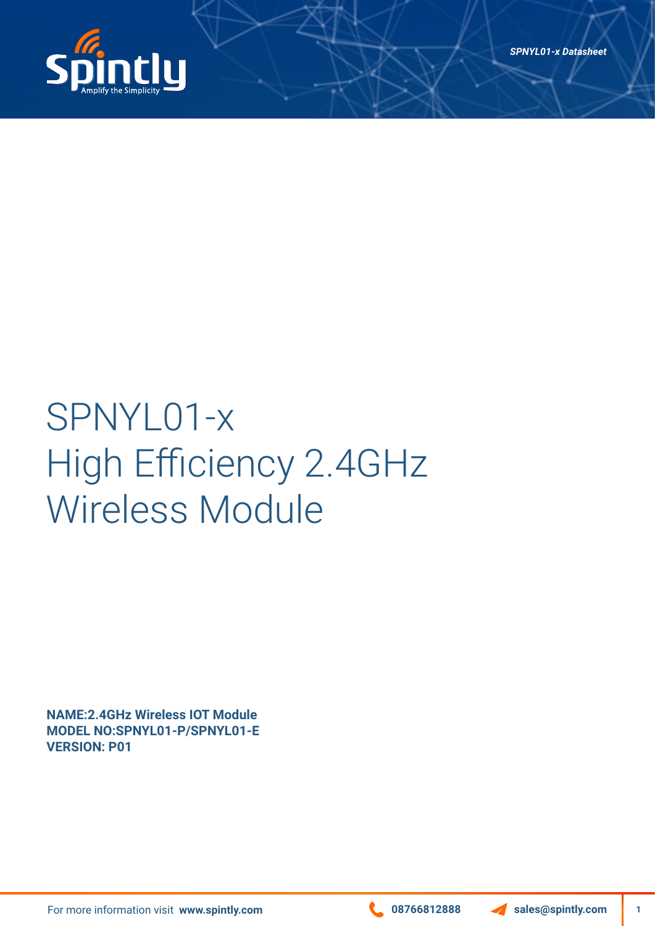

# SPNYL01-x High Efficiency 2.4GHz Wireless Module

**NAME:2.4GHz Wireless IOT Module MODEL NO:SPNYL01-P/SPNYL01-E VERSION: P01**

For more information visit www.spintly.com **1999 1288 Contract 1999 12888** Sales@spintly.com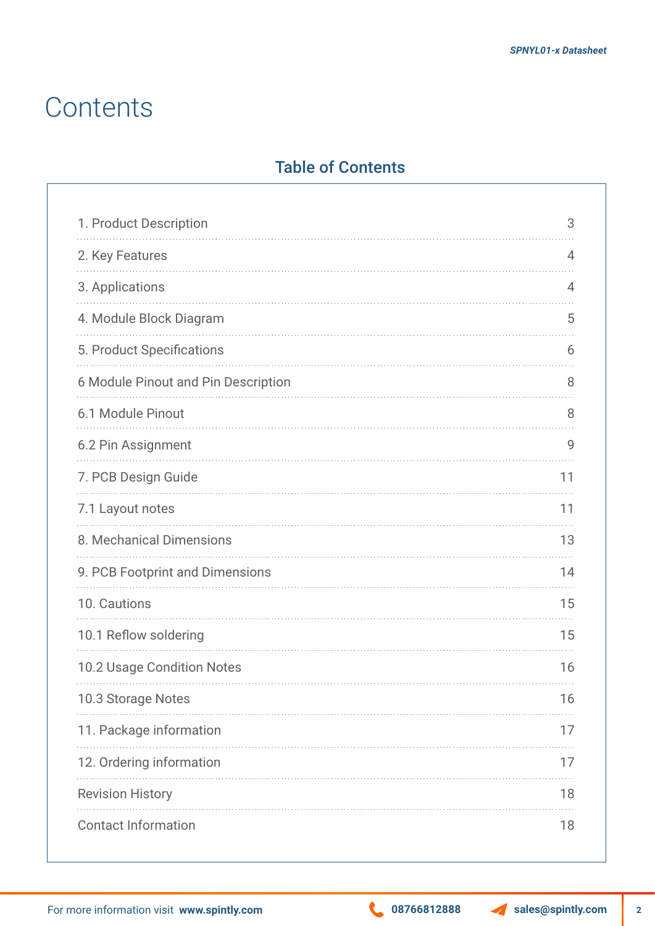#### **Contents**

#### Table of Contents

| 1. Product Description              | 3  |
|-------------------------------------|----|
| 2. Key Features                     | 4  |
| 3. Applications                     | 4  |
| 4. Module Block Diagram             | 5  |
| 5. Product Specifications           | 6  |
| 6 Module Pinout and Pin Description | 8  |
| 6.1 Module Pinout                   | 8  |
| 6.2 Pin Assignment                  | 9  |
| 7. PCB Design Guide                 | 11 |
| 7.1 Layout notes                    | 11 |
| 8. Mechanical Dimensions            | 13 |
| 9. PCB Footprint and Dimensions     | 14 |
| 10. Cautions                        | 15 |
| 10.1 Reflow soldering               | 15 |
| 10.2 Usage Condition Notes          | 16 |
| 10.3 Storage Notes                  | 16 |
| 11. Package information             | 17 |
| 12. Ordering information            | 17 |
| <b>Revision History</b>             | 18 |
| <b>Contact Information</b>          | 18 |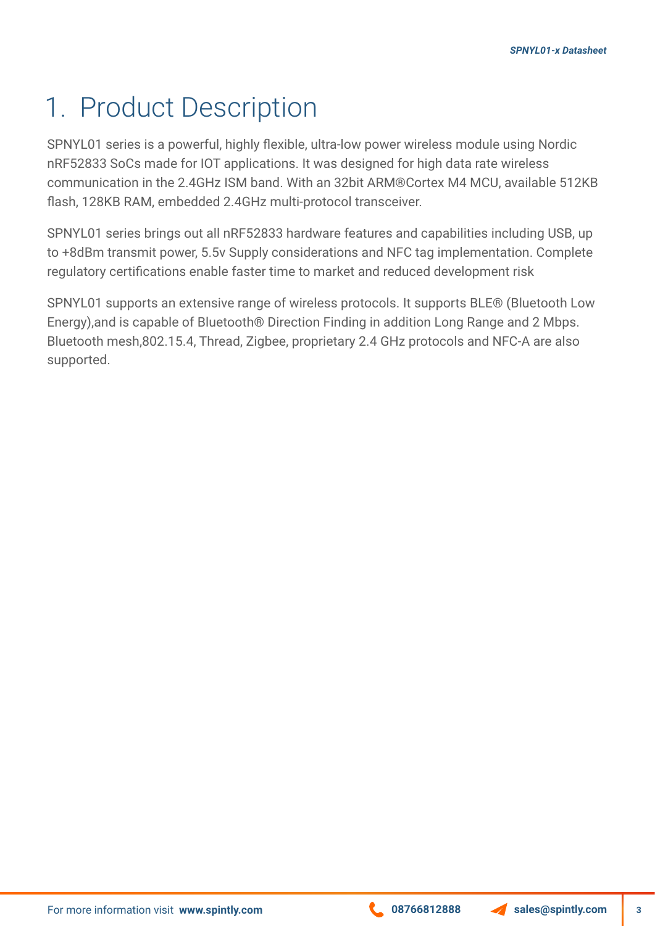### 1. Product Description

SPNYL01 series is a powerful, highly flexible, ultra-low power wireless module using Nordic nRF52833 SoCs made for IOT applications. It was designed for high data rate wireless communication in the 2.4GHz ISM band. With an 32bit ARM®Cortex M4 MCU, available 512KB flash, 128KB RAM, embedded 2.4GHz multi-protocol transceiver.

SPNYL01 series brings out all nRF52833 hardware features and capabilities including USB, up to +8dBm transmit power, 5.5v Supply considerations and NFC tag implementation. Complete regulatory certifications enable faster time to market and reduced development risk

SPNYL01 supports an extensive range of wireless protocols. It supports BLE® (Bluetooth Low Energy),and is capable of Bluetooth® Direction Finding in addition Long Range and 2 Mbps. Bluetooth mesh,802.15.4, Thread, Zigbee, proprietary 2.4 GHz protocols and NFC-A are also supported.

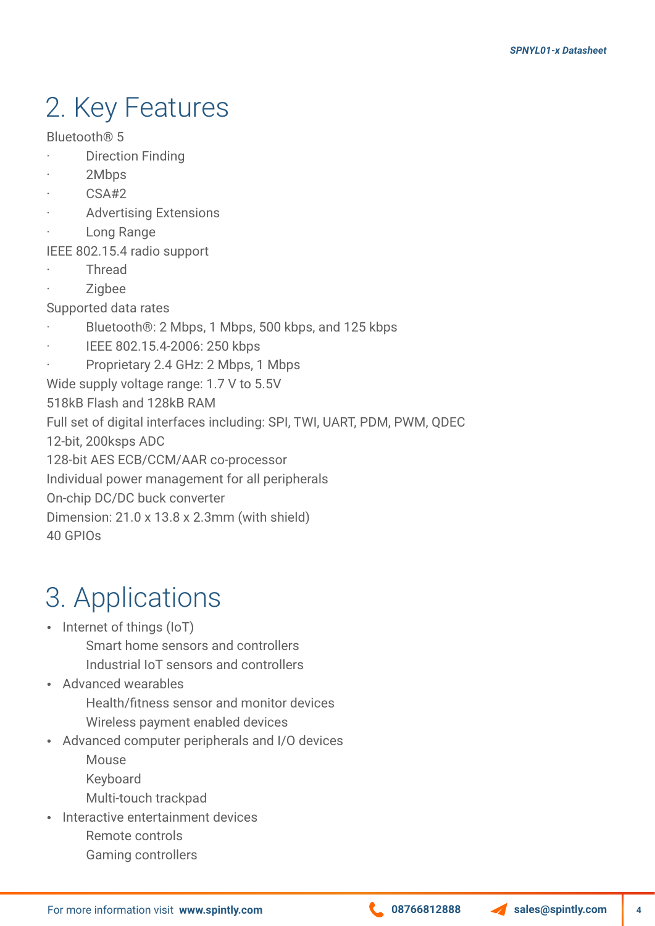# 2. Key Features

Bluetooth® 5

- **Direction Finding**
- 2Mbps
- · CSA#2
- **Advertising Extensions**
- Long Range
- IEEE 802.15.4 radio support
- · Thread
- · Zigbee

Supported data rates

- Bluetooth®: 2 Mbps, 1 Mbps, 500 kbps, and 125 kbps
- IEEE 802.15.4-2006: 250 kbps

Proprietary 2.4 GHz: 2 Mbps, 1 Mbps Wide supply voltage range: 1.7 V to 5.5V 518kB Flash and 128kB RAM Full set of digital interfaces including: SPI, TWI, UART, PDM, PWM, QDEC 12-bit, 200ksps ADC 128-bit AES ECB/CCM/AAR co-processor Individual power management for all peripherals On-chip DC/DC buck converter Dimension: 21.0 x 13.8 x 2.3mm (with shield) 40 GPIOs

## 3. Applications

- $\cdot$  Internet of things (IoT)
	- Smart home sensors and controllers
	- Industrial IoT sensors and controllers
- Advanced wearables
	- Health/fitness sensor and monitor devices Wireless payment enabled devices
- Advanced computer peripherals and I/O devices
	- Mouse
	- Keyboard
	- Multi-touch trackpad
- Interactive entertainment devices Remote controls Gaming controllers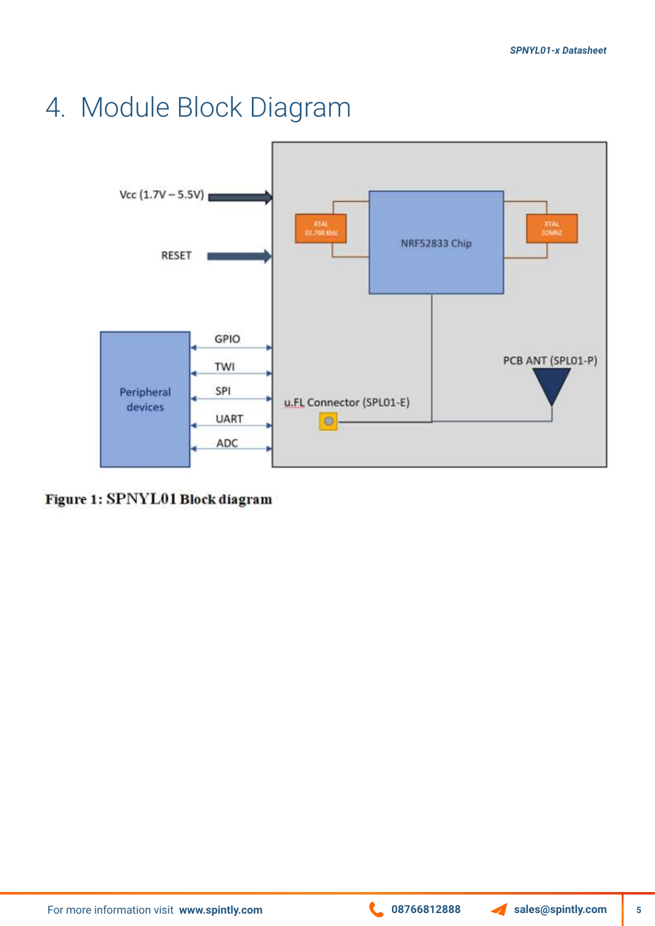#### 4. Module Block Diagram



Figure 1: SPNYL01 Block diagram

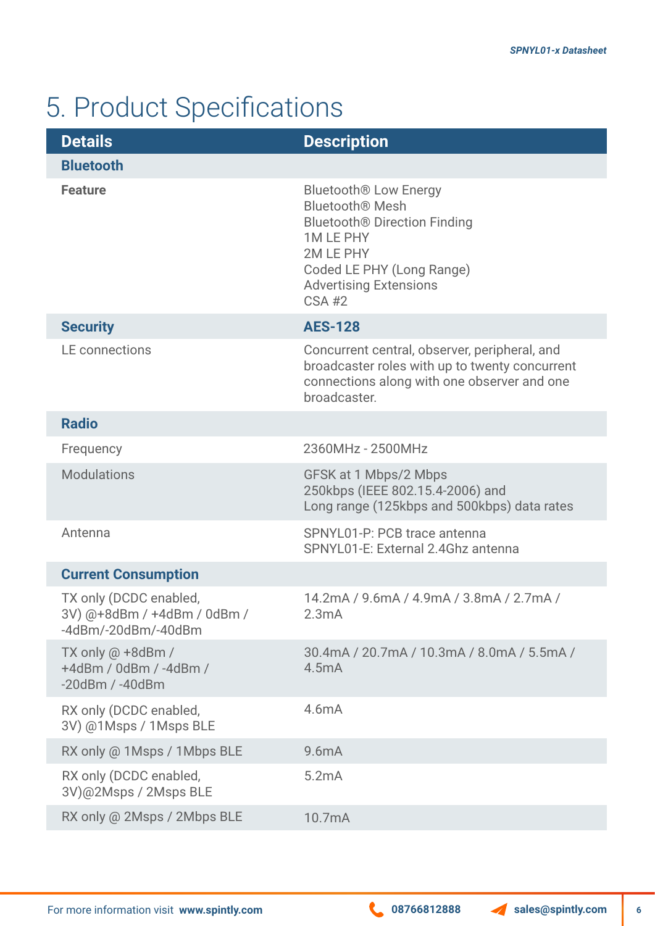# 5. Product Specifications

| <b>Details</b>                                                                          | <b>Description</b>                                                                                                                                                                                     |
|-----------------------------------------------------------------------------------------|--------------------------------------------------------------------------------------------------------------------------------------------------------------------------------------------------------|
| <b>Bluetooth</b>                                                                        |                                                                                                                                                                                                        |
| <b>Feature</b>                                                                          | <b>Bluetooth® Low Energy</b><br><b>Bluetooth® Mesh</b><br><b>Bluetooth® Direction Finding</b><br><b>1MLEPHY</b><br>2M LE PHY<br>Coded LE PHY (Long Range)<br><b>Advertising Extensions</b><br>$CSA$ #2 |
| <b>Security</b>                                                                         | <b>AES-128</b>                                                                                                                                                                                         |
| LE connections                                                                          | Concurrent central, observer, peripheral, and<br>broadcaster roles with up to twenty concurrent<br>connections along with one observer and one<br>broadcaster.                                         |
| <b>Radio</b>                                                                            |                                                                                                                                                                                                        |
| Frequency                                                                               | 2360MHz - 2500MHz                                                                                                                                                                                      |
| <b>Modulations</b>                                                                      | GFSK at 1 Mbps/2 Mbps<br>250kbps (IEEE 802.15.4-2006) and<br>Long range (125kbps and 500kbps) data rates                                                                                               |
| Antenna                                                                                 | SPNYL01-P: PCB trace antenna<br>SPNYL01-E: External 2.4Ghz antenna                                                                                                                                     |
| <b>Current Consumption</b>                                                              |                                                                                                                                                                                                        |
| TX only (DCDC enabled,<br>3V) @+8dBm / +4dBm / 0dBm /<br>$-4d$ Bm/ $-20d$ Bm/ $-40d$ Bm | 14.2mA / 9.6mA / 4.9mA / 3.8mA / 2.7mA /<br>2.3mA                                                                                                                                                      |
| TX only $@ + 8dBr$ /<br>+4dBm / 0dBm / -4dBm /<br>$-20$ dBm / $-40$ dBm                 | 30.4mA / 20.7mA / 10.3mA / 8.0mA / 5.5mA /<br>4.5mA                                                                                                                                                    |
| RX only (DCDC enabled,<br>3V) @1Msps / 1Msps BLE                                        | 4.6mA                                                                                                                                                                                                  |
| RX only @ 1Msps / 1Mbps BLE                                                             | 9.6mA                                                                                                                                                                                                  |
| RX only (DCDC enabled,<br>3V)@2Msps / 2Msps BLE                                         | 5.2mA                                                                                                                                                                                                  |
| RX only @ 2Msps / 2Mbps BLE                                                             | 10.7mA                                                                                                                                                                                                 |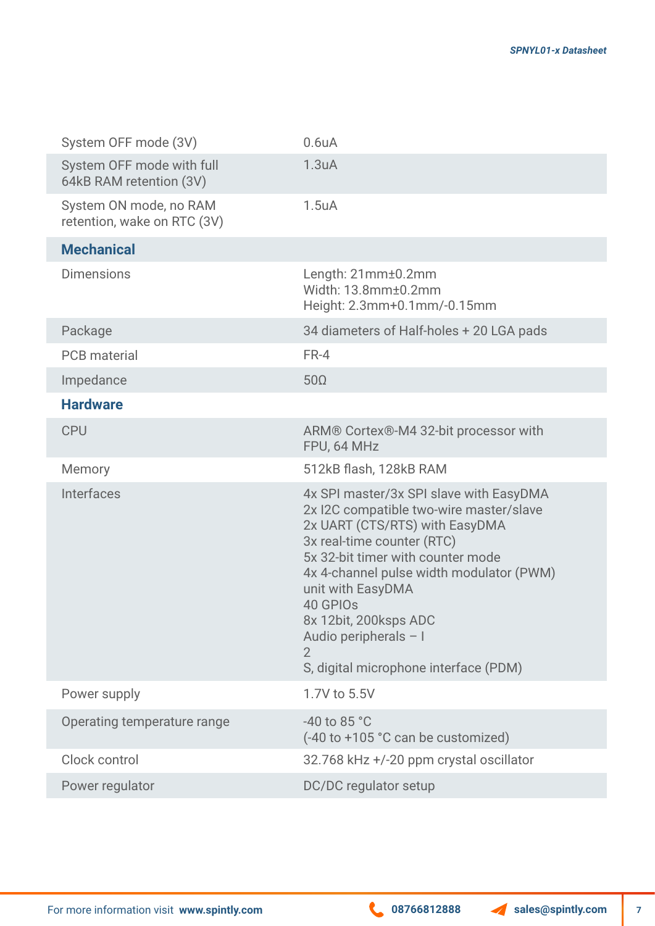| System OFF mode (3V)                                  | 0.6 <sub>u</sub> A                                                                                                                                                                                                                                                                                                                                                          |
|-------------------------------------------------------|-----------------------------------------------------------------------------------------------------------------------------------------------------------------------------------------------------------------------------------------------------------------------------------------------------------------------------------------------------------------------------|
| System OFF mode with full<br>64kB RAM retention (3V)  | 1.3 <sub>u</sub> A                                                                                                                                                                                                                                                                                                                                                          |
| System ON mode, no RAM<br>retention, wake on RTC (3V) | $1.5u$ A                                                                                                                                                                                                                                                                                                                                                                    |
| <b>Mechanical</b>                                     |                                                                                                                                                                                                                                                                                                                                                                             |
| <b>Dimensions</b>                                     | Length: 21mm±0.2mm<br>Width: 13.8mm±0.2mm<br>Height: 2.3mm+0.1mm/-0.15mm                                                                                                                                                                                                                                                                                                    |
| Package                                               | 34 diameters of Half-holes + 20 LGA pads                                                                                                                                                                                                                                                                                                                                    |
| <b>PCB</b> material                                   | FR-4                                                                                                                                                                                                                                                                                                                                                                        |
| Impedance                                             | $50\Omega$                                                                                                                                                                                                                                                                                                                                                                  |
| <b>Hardware</b>                                       |                                                                                                                                                                                                                                                                                                                                                                             |
| <b>CPU</b>                                            | ARM® Cortex®-M4 32-bit processor with<br>FPU, 64 MHz                                                                                                                                                                                                                                                                                                                        |
| Memory                                                | 512kB flash, 128kB RAM                                                                                                                                                                                                                                                                                                                                                      |
| <b>Interfaces</b>                                     | 4x SPI master/3x SPI slave with EasyDMA<br>2x I2C compatible two-wire master/slave<br>2x UART (CTS/RTS) with EasyDMA<br>3x real-time counter (RTC)<br>5x 32-bit timer with counter mode<br>4x 4-channel pulse width modulator (PWM)<br>unit with EasyDMA<br>40 GPIO <sub>s</sub><br>8x 12bit, 200ksps ADC<br>Audio peripherals - I<br>S, digital microphone interface (PDM) |
| Power supply                                          | 1.7V to 5.5V                                                                                                                                                                                                                                                                                                                                                                |
| Operating temperature range                           | -40 to 85 $^{\circ}$ C<br>(-40 to +105 °C can be customized)                                                                                                                                                                                                                                                                                                                |
| Clock control                                         | 32.768 kHz +/-20 ppm crystal oscillator                                                                                                                                                                                                                                                                                                                                     |
| Power regulator                                       | DC/DC regulator setup                                                                                                                                                                                                                                                                                                                                                       |
|                                                       |                                                                                                                                                                                                                                                                                                                                                                             |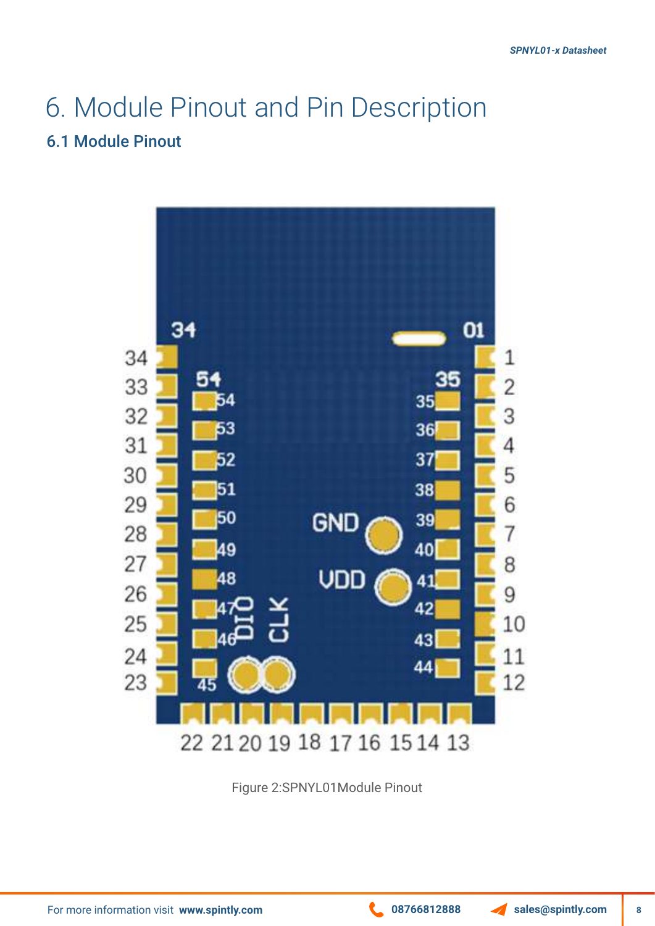# 6. Module Pinout and Pin Description

#### 6.1 Module Pinout



Figure 2:SPNYL01Module Pinout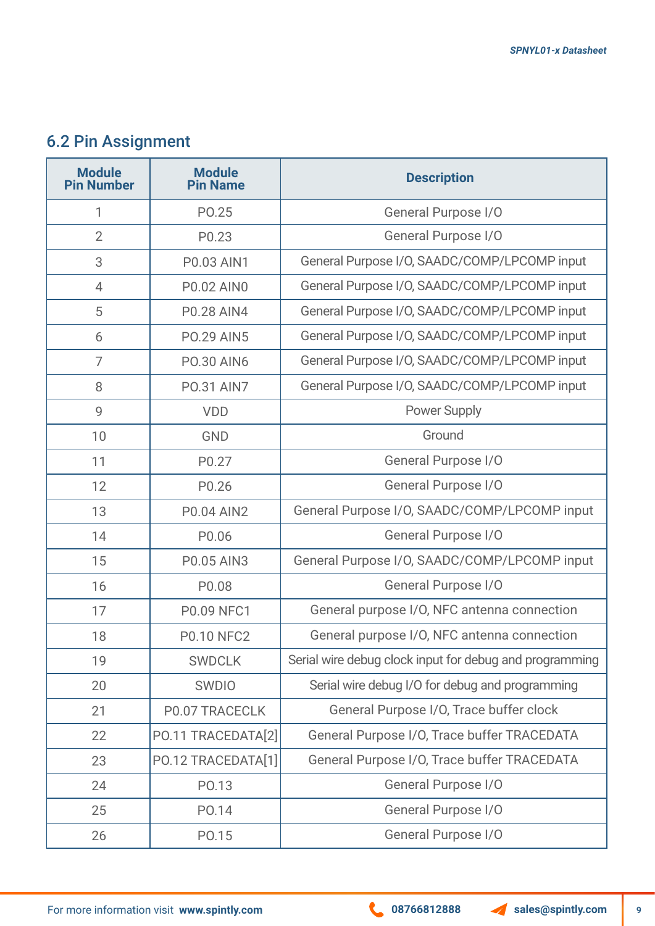#### 6.2 Pin Assignment

| <b>Module</b><br><b>Pin Number</b> | <b>Module</b><br><b>Pin Name</b> | <b>Description</b>                                      |  |
|------------------------------------|----------------------------------|---------------------------------------------------------|--|
| 1                                  | PO.25                            | General Purpose I/O                                     |  |
| $\overline{2}$                     | P <sub>0.23</sub>                | General Purpose I/O                                     |  |
| 3                                  | <b>P0.03 AIN1</b>                | General Purpose I/O, SAADC/COMP/LPCOMP input            |  |
| $\overline{4}$                     | <b>P0.02 AINO</b>                | General Purpose I/O, SAADC/COMP/LPCOMP input            |  |
| 5                                  | <b>P0.28 AIN4</b>                | General Purpose I/O, SAADC/COMP/LPCOMP input            |  |
| 6                                  | <b>PO.29 AIN5</b>                | General Purpose I/O, SAADC/COMP/LPCOMP input            |  |
| $\overline{7}$                     | <b>PO.30 AIN6</b>                | General Purpose I/O, SAADC/COMP/LPCOMP input            |  |
| 8                                  | <b>PO.31 AIN7</b>                | General Purpose I/O, SAADC/COMP/LPCOMP input            |  |
| 9                                  | <b>VDD</b>                       | <b>Power Supply</b>                                     |  |
| 10                                 | <b>GND</b>                       | Ground                                                  |  |
| 11                                 | P0.27                            | General Purpose I/O                                     |  |
| 12                                 | P0.26                            | General Purpose I/O                                     |  |
| 13                                 | <b>P0.04 AIN2</b>                | General Purpose I/O, SAADC/COMP/LPCOMP input            |  |
| 14                                 | P <sub>0.06</sub>                | General Purpose I/O                                     |  |
| 15                                 | <b>P0.05 AIN3</b>                | General Purpose I/O, SAADC/COMP/LPCOMP input            |  |
| 16                                 | P0.08                            | General Purpose I/O                                     |  |
| 17                                 | <b>P0.09 NFC1</b>                | General purpose I/O, NFC antenna connection             |  |
| 18                                 | <b>P0.10 NFC2</b>                | General purpose I/O, NFC antenna connection             |  |
| 19                                 | <b>SWDCLK</b>                    | Serial wire debug clock input for debug and programming |  |
| 20                                 | SWDIO                            | Serial wire debug I/O for debug and programming         |  |
| 21                                 | <b>P0.07 TRACECLK</b>            | General Purpose I/O, Trace buffer clock                 |  |
| 22                                 | PO.11 TRACEDATA[2]               | General Purpose I/O, Trace buffer TRACEDATA             |  |
| 23                                 | PO.12 TRACEDATA[1]               | General Purpose I/O, Trace buffer TRACEDATA             |  |
| 24                                 | PO.13                            | <b>General Purpose I/O</b>                              |  |
| 25                                 | PO.14                            | General Purpose I/O                                     |  |
| 26                                 | PO.15                            | <b>General Purpose I/O</b>                              |  |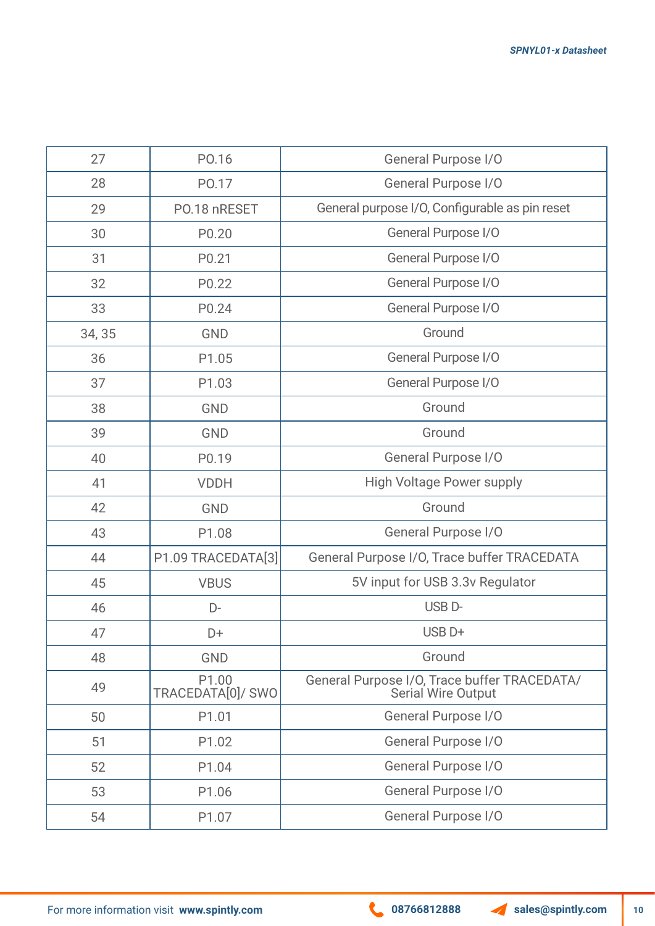| 27     | PO.16                                  | <b>General Purpose I/O</b>                                         |  |
|--------|----------------------------------------|--------------------------------------------------------------------|--|
| 28     | PO.17                                  | General Purpose I/O                                                |  |
| 29     | PO.18 nRESET                           | General purpose I/O, Configurable as pin reset                     |  |
| 30     | P0.20                                  | General Purpose I/O                                                |  |
| 31     | P0.21                                  | General Purpose I/O                                                |  |
| 32     | P0.22                                  | General Purpose I/O                                                |  |
| 33     | P0.24                                  | General Purpose I/O                                                |  |
| 34, 35 | <b>GND</b>                             | Ground                                                             |  |
| 36     | P1.05                                  | General Purpose I/O                                                |  |
| 37     | P1.03                                  | General Purpose I/O                                                |  |
| 38     | <b>GND</b>                             | Ground                                                             |  |
| 39     | <b>GND</b>                             | Ground                                                             |  |
| 40     | P0.19                                  | General Purpose I/O                                                |  |
| 41     | <b>VDDH</b>                            | <b>High Voltage Power supply</b>                                   |  |
| 42     | <b>GND</b>                             | Ground                                                             |  |
| 43     | P1.08                                  | <b>General Purpose I/O</b>                                         |  |
| 44     | P1.09 TRACEDATA[3]                     | General Purpose I/O, Trace buffer TRACEDATA                        |  |
| 45     | <b>VBUS</b>                            | 5V input for USB 3.3v Regulator                                    |  |
| 46     | D-                                     | USB <sub>D</sub> -                                                 |  |
| 47     | D+                                     | USB <sub>D+</sub>                                                  |  |
| 48     | <b>GND</b>                             | Ground                                                             |  |
| 49     | P <sub>1.00</sub><br>TRACEDATA[0]/ SWO | General Purpose I/O, Trace buffer TRACEDATA/<br>Serial Wire Output |  |
| 50     | P1.01                                  | <b>General Purpose I/O</b>                                         |  |
| 51     | P1.02                                  | <b>General Purpose I/O</b>                                         |  |
| 52     | P1.04                                  | <b>General Purpose I/O</b>                                         |  |
| 53     | P1.06                                  | <b>General Purpose I/O</b>                                         |  |
| 54     | P1.07                                  | <b>General Purpose I/O</b>                                         |  |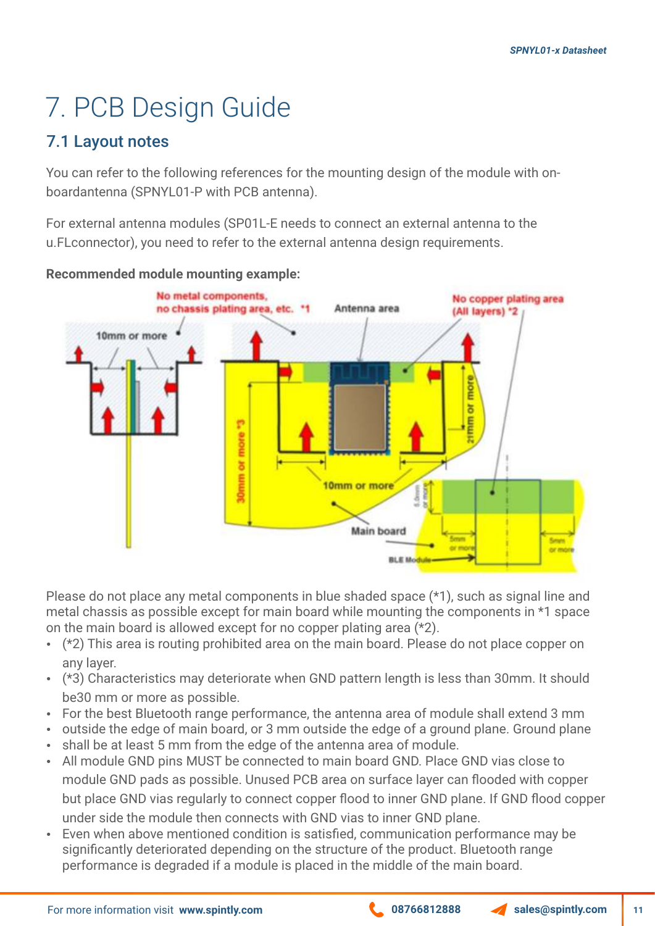# 7. PCB Design Guide

#### 7.1 Layout notes

You can refer to the following references for the mounting design of the module with onboardantenna (SPNYL01-P with PCB antenna).

For external antenna modules (SP01L-E needs to connect an external antenna to the u.FLconnector), you need to refer to the external antenna design requirements.



**Recommended module mounting example:**

Please do not place any metal components in blue shaded space (\*1), such as signal line and metal chassis as possible except for main board while mounting the components in \*1 space on the main board is allowed except for no copper plating area (\*2).

- $\cdot$  (\*2) This area is routing prohibited area on the main board. Please do not place copper on any layer.
- (\*3) Characteristics may deteriorate when GND pattern length is less than 30mm. It should be30 mm or more as possible.
- For the best Bluetooth range performance, the antenna area of module shall extend 3 mm
- outside the edge of main board, or 3 mm outside the edge of a ground plane. Ground plane
- shall be at least 5 mm from the edge of the antenna area of module. • All module GND pins MUST be connected to main board GND. Place GND vias close to module GND pads as possible. Unused PCB area on surface layer can flooded with copper but place GND vias regularly to connect copper flood to inner GND plane. If GND flood copper under side the module then connects with GND vias to inner GND plane.
- Even when above mentioned condition is satisfied, communication performance may be significantly deteriorated depending on the structure of the product. Bluetooth range performance is degraded if a module is placed in the middle of the main board.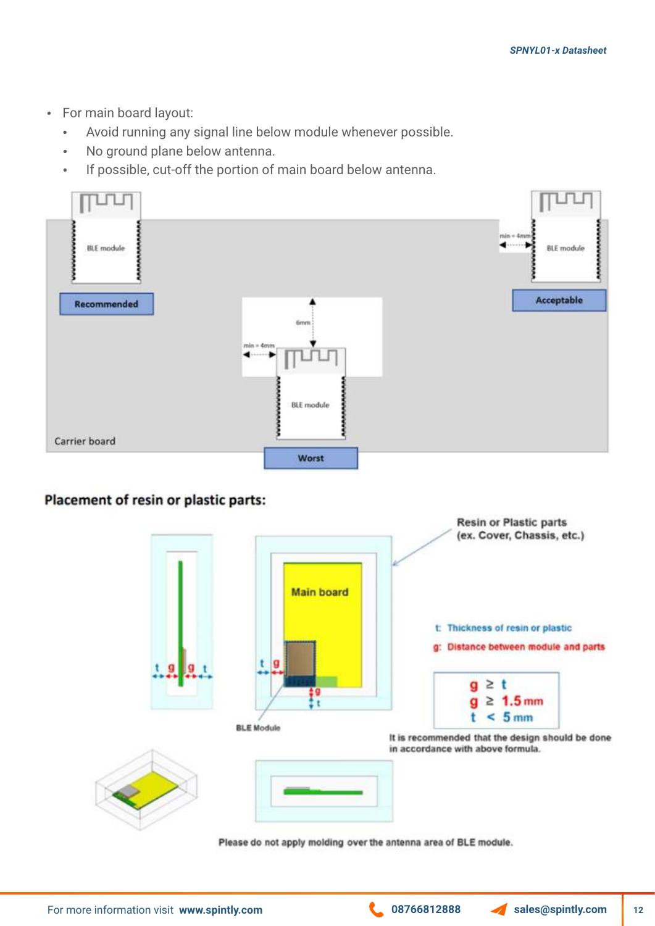- For main board layout:
	- Avoid running any signal line below module whenever possible.
	- No ground plane below antenna.
	- If possible, cut-off the portion of main board below antenna.



#### Placement of resin or plastic parts:



Please do not apply molding over the antenna area of BLE module.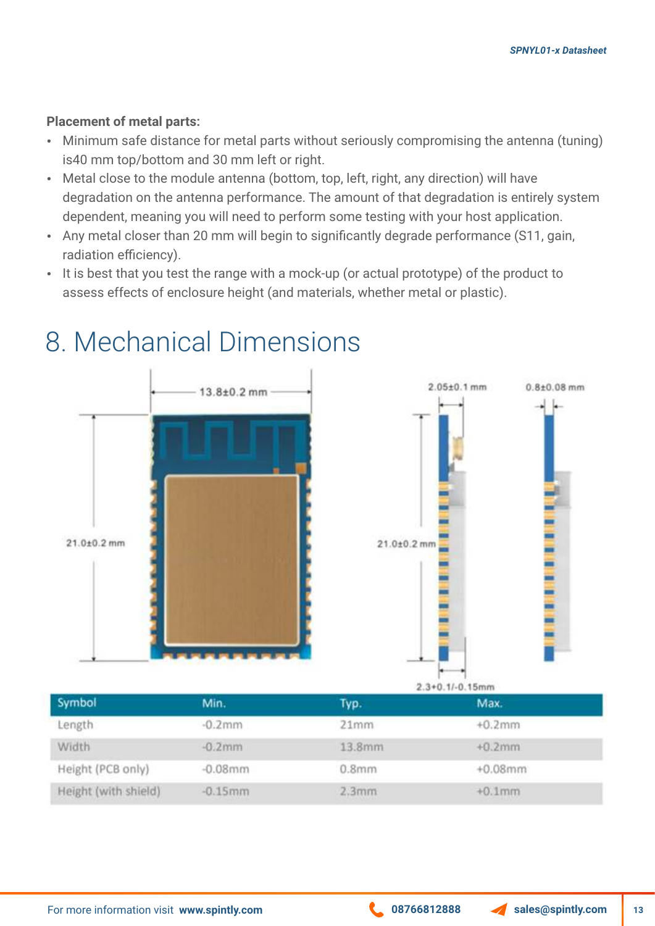#### **Placement of metal parts:**

- Minimum safe distance for metal parts without seriously compromising the antenna (tuning) is40 mm top/bottom and 30 mm left or right.
- Metal close to the module antenna (bottom, top, left, right, any direction) will have degradation on the antenna performance. The amount of that degradation is entirely system dependent, meaning you will need to perform some testing with your host application.
- Any metal closer than 20 mm will begin to significantly degrade performance (S11, gain, radiation efficiency).
- It is best that you test the range with a mock-up (or actual prototype) of the product to assess effects of enclosure height (and materials, whether metal or plastic).



### 8. Mechanical Dimensions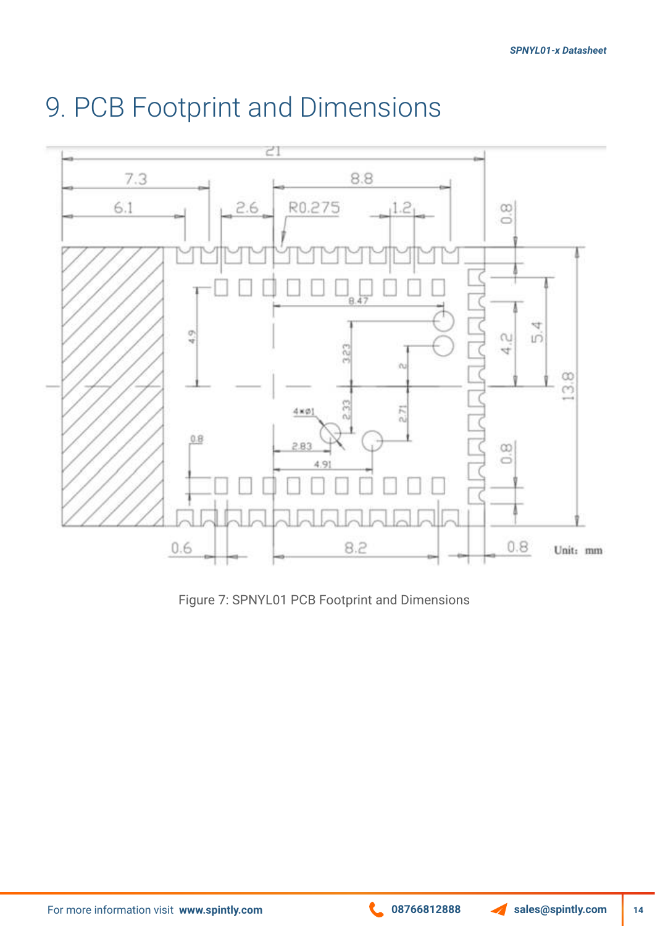

#### 9. PCB Footprint and Dimensions

Figure 7: SPNYL01 PCB Footprint and Dimensions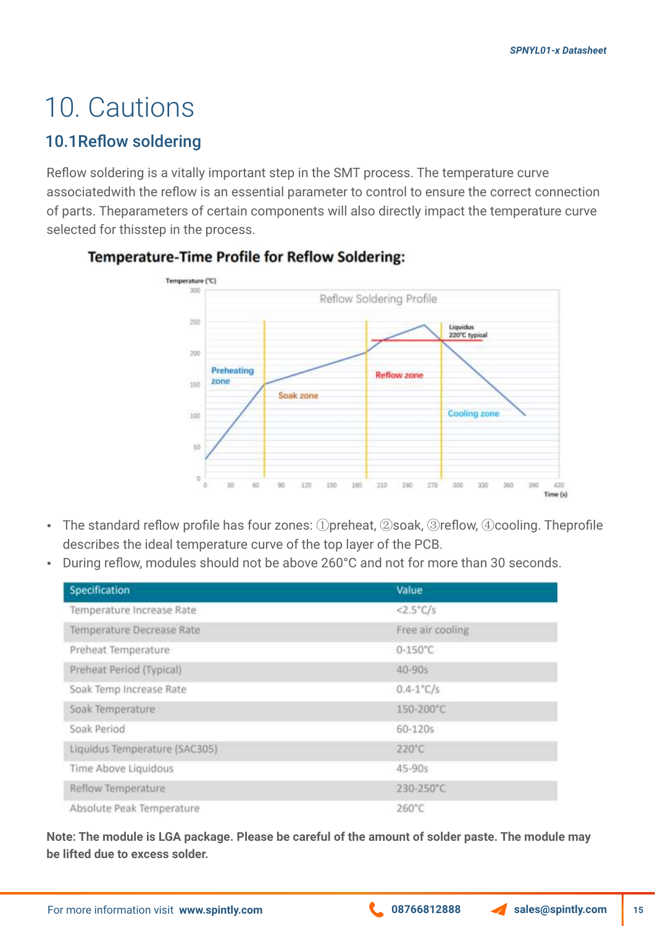### 10. Cautions

#### 10.1Reflow soldering

Reflow soldering is a vitally important step in the SMT process. The temperature curve associatedwith the reflow is an essential parameter to control to ensure the correct connection of parts. Theparameters of certain components will also directly impact the temperature curve selected for thisstep in the process.



#### **Temperature-Time Profile for Reflow Soldering:**

- The standard reflow profile has four zones: ①preheat, ②soak, ③reflow, ④cooling. Theprofile describes the ideal temperature curve of the top layer of the PCB.
- During reflow, modules should not be above 260°C and not for more than 30 seconds.

| Specification                 | Value               |  |
|-------------------------------|---------------------|--|
| Temperature Increase Rate     | $<2.5^{\circ}$ C/s  |  |
| Temperature Decrease Rate     | Free air cooling    |  |
| Preheat Temperature           | $0 - 150^{\circ}$ C |  |
| Preheat Period (Typical)      | 40-90s              |  |
| Soak Temp Increase Rate       | $0.4 - 1$ °C/s      |  |
| Soak Temperature              | 150-200°C           |  |
| Soak Period                   | 60-120s             |  |
| Liquidus Temperature (SAC305) | $220^{\circ}$ C     |  |
| Time Above Liquidous          | 45-90s              |  |
| Reflow Temperature            | 230-250°C           |  |
| Absolute Peak Temperature     | 260°C               |  |

**Note: The module is LGA package. Please be careful of the amount of solder paste. The module may be lifted due to excess solder.**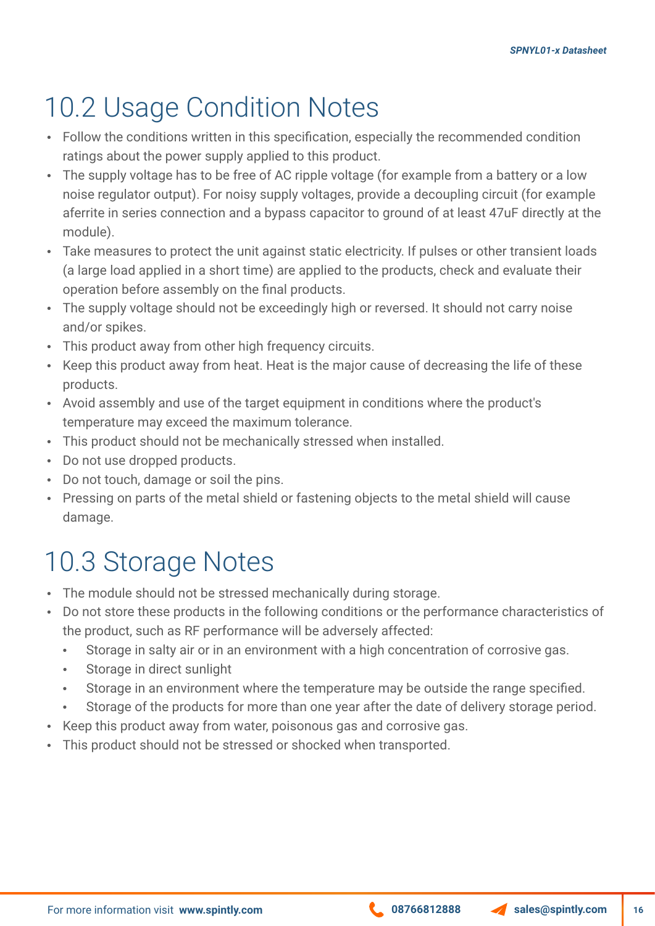### 10.2 Usage Condition Notes

- Follow the conditions written in this specification, especially the recommended condition ratings about the power supply applied to this product.
- The supply voltage has to be free of AC ripple voltage (for example from a battery or a low noise regulator output). For noisy supply voltages, provide a decoupling circuit (for example aferrite in series connection and a bypass capacitor to ground of at least 47uF directly at the module).
- Take measures to protect the unit against static electricity. If pulses or other transient loads (a large load applied in a short time) are applied to the products, check and evaluate their operation before assembly on the final products.
- The supply voltage should not be exceedingly high or reversed. It should not carry noise and/or spikes.
- This product away from other high frequency circuits.
- Keep this product away from heat. Heat is the major cause of decreasing the life of these products.
- Avoid assembly and use of the target equipment in conditions where the product's temperature may exceed the maximum tolerance.
- This product should not be mechanically stressed when installed.
- Do not use dropped products.
- Do not touch, damage or soil the pins.
- Pressing on parts of the metal shield or fastening objects to the metal shield will cause damage.

#### 10.3 Storage Notes

- The module should not be stressed mechanically during storage.
- Do not store these products in the following conditions or the performance characteristics of the product, such as RF performance will be adversely affected:
	- Storage in salty air or in an environment with a high concentration of corrosive gas.
	- Storage in direct sunlight
	- Storage in an environment where the temperature may be outside the range specified.
	- Storage of the products for more than one year after the date of delivery storage period.
- Keep this product away from water, poisonous gas and corrosive gas.
- This product should not be stressed or shocked when transported.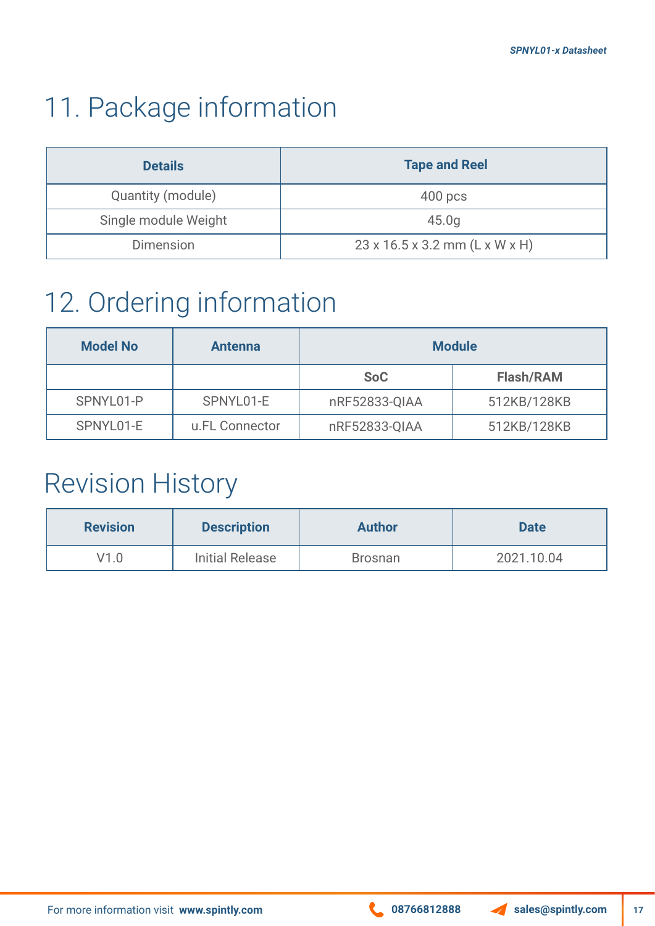### 11. Package information

| <b>Details</b>       | <b>Tape and Reel</b>                       |  |
|----------------------|--------------------------------------------|--|
| Quantity (module)    | $400$ pcs                                  |  |
| Single module Weight | 45.0q                                      |  |
| Dimension            | $23 \times 16.5 \times 3.2$ mm (L x W x H) |  |

### 12. Ordering information

| <b>Model No</b> | <b>Antenna</b> | <b>Module</b> |                  |
|-----------------|----------------|---------------|------------------|
|                 |                | <b>SoC</b>    | <b>Flash/RAM</b> |
| SPNYL01-P       | SPNYL01-E      | nRF52833-QIAA | 512KB/128KB      |
| SPNYL01-E       | u.FL Connector | nRF52833-QIAA | 512KB/128KB      |

#### Revision History

| <b>Revision</b> | <b>Description</b>     | <b>Author</b>  | <b>Date</b> |
|-----------------|------------------------|----------------|-------------|
| V1.0            | <b>Initial Release</b> | <b>Brosnan</b> | 2021.10.04  |